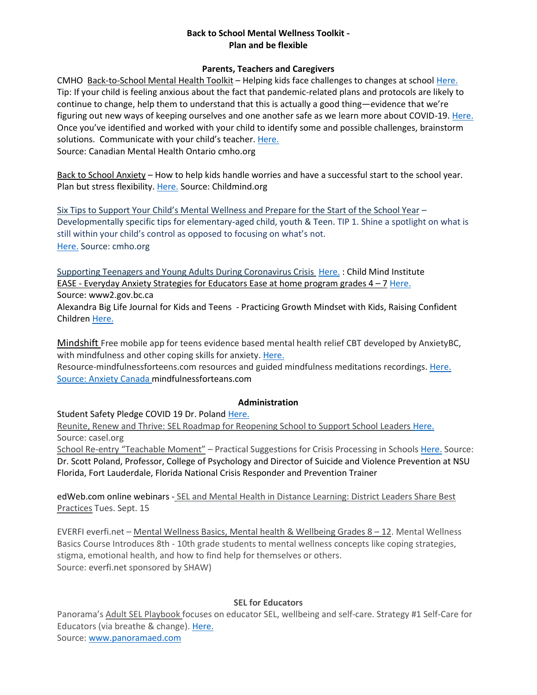#### **Back to School Mental Wellness Toolkit - Plan and be flexible**

### **Parents, Teachers and Caregivers**

CMHO Back-to-School Mental Health Toolkit – Helping kids face challenges to changes at school [Here.](https://cmho.org/back-to-school/?mc_cid=64922f4195&mc_eid=b9f1e44780) Tip: If your child is feeling anxious about the fact that pandemic-related plans and protocols are likely to continue to change, help them to understand that this is actually a good thing—evidence that we're figuring out new ways of keeping ourselves and one another safe as we learn more about COVID-19. [Here.](https://cmho.org/identify-challenges-and-brainstorm-solutions/) Once you've identified and worked with your child to identify some and possible challenges, brainstorm solutions. Communicate with your child's teacher. [Here.](https://cmho.org/communicate-with-your-childs-teacher/) Source: Canadian Mental Health Ontario cmho.org

Back to School Anxiety – How to help kids handle worries and have a successful start to the school year. Plan but stress flexibility. [Here.](https://childmind.org/article/back-school-anxiety/) Source: Childmind.org

Six Tips to Support Your Child's Mental Wellness and Prepare for the Start of the School Year – Developmentally specific tips for elementary-aged child, youth & Teen. TIP 1. Shine a spotlight on what is still within your child's control as opposed to focusing on what's not. [Here.](https://cmho.org/six-tips-to-support-your-childs-mental-wellness/) Source: cmho.org

Supporting Teenagers and Young Adults During Coronavirus Crisis [Here.](https://childmind.org/article/supporting-teenagers-and-young-adults-during-the-coronavirus-crisis/) : Child Mind Institute EASE - Everyday Anxiety Strategies for Educators Ease at home program grades  $4 - 7$  [Here.](https://www2.gov.bc.ca/gov/content/health/managing-your-health/mental-health-substance-use/child-teen-mental-health/ease)

Source: www2.gov.bc.ca

Alexandra Big Life Journal for Kids and Teens - Practicing Growth Mindset with Kids, Raising Confident Children [Here.](https://biglifejournal.com/)

Mindshift Free mobile app for teens evidence based mental health relief CBT developed by AnxietyBC, with mindfulness and other coping skills for anxiety. [Here.](https://www.anxietycanada.com/resources/mindshift-cbt/)

Resource-mindfulnessforteens.com resources and guided mindfulness meditations recordings. [Here.](http://mindfulnessforteens.com/resources/) Source: Anxiety Canada mindfulnessforteans.com

# **Administration**

Student Safety Pledge COVID 19 Dr. Poland [Here.](https://iscainfo.com/resources/Documents/Student%20Safety%20Pledge%20COVID%2019%20Dr.%20Poland.pdf)

Reunite, Renew and Thrive: SEL Roadmap for Reopening School to Support School Leaders [Here.](https://casel.org/reopening-with-sel/) Source: casel.org

School Re-entry "Teachable Moment" – Practical Suggestions for Crisis Processing in School[s Here.](https://iscainfo.com/resources/Documents/Covid19%20Pandemic%20Re-entry%20Teachable%20Moment%20Poland%20Final%20.pdf) Source: Dr. Scott Poland, Professor, College of Psychology and Director of Suicide and Violence Prevention at NSU Florida, Fort Lauderdale, Florida National Crisis Responder and Prevention Trainer

edWeb.com online webinars - SEL and Mental Health in Distance Learning: District Leaders Share Best Practices Tues. Sept. 15

EVERFI everfi.net – Mental Wellness Basics, Mental health & Wellbeing Grades 8 – 12. Mental Wellness Basics Course Introduces 8th - 10th grade students to mental wellness concepts like coping strategies, stigma, emotional health, and how to find help for themselves or others. Source: everfi.net sponsored by SHAW)

# **SEL for Educators**

Panorama's Adult SEL Playbook focuses on educator SEL, wellbeing and self-care. Strategy #1 Self-Care for Educators (via breathe & change). [Here.](https://go.panoramaed.com/hubfs/Adult%20SEL%20Strategies%20from%20Panoramas%20Playbook.pdf) Source: [www.panoramaed.com](http://www.panoramaed.com/)